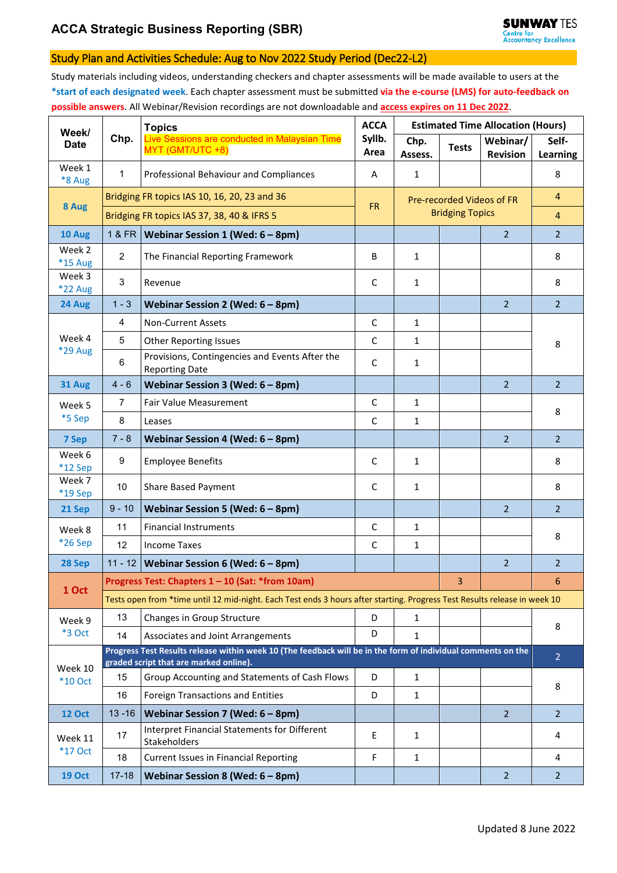## Study Plan and Activities Schedule: Aug to Nov 2022 Study Period (Dec22-L2)

Study materials including videos, understanding checkers and chapter assessments will be made available to users at the **\*start of each designated week**. Each chapter assessment must be submitted **via the e-course (LMS) for auto-feedback on possible answers**. All Webinar/Revision recordings are not downloadable and **access expires on 11 Dec 2022**.

| Week/<br><b>Date</b>      | Chp.                                                                                                                                                   | <b>Topics</b><br>Live Sessions are conducted in Malaysian Time<br>MYT (GMT/UTC +8) | <b>ACCA</b><br>Syllb.<br>Area | <b>Estimated Time Allocation (Hours)</b> |                           |                 |                |  |  |
|---------------------------|--------------------------------------------------------------------------------------------------------------------------------------------------------|------------------------------------------------------------------------------------|-------------------------------|------------------------------------------|---------------------------|-----------------|----------------|--|--|
|                           |                                                                                                                                                        |                                                                                    |                               | Chp.                                     | <b>Tests</b>              | Webinar/        | Self-          |  |  |
| Week 1                    |                                                                                                                                                        |                                                                                    |                               | Assess.                                  |                           | <b>Revision</b> | Learning       |  |  |
| *8 Aug                    | $\mathbf{1}$                                                                                                                                           | Professional Behaviour and Compliances                                             | Α                             | $\mathbf{1}$                             |                           |                 | 8              |  |  |
| 8 Aug                     | Bridging FR topics IAS 10, 16, 20, 23 and 36                                                                                                           |                                                                                    | <b>FR</b>                     |                                          | Pre-recorded Videos of FR |                 | $\overline{4}$ |  |  |
|                           | Bridging FR topics IAS 37, 38, 40 & IFRS 5                                                                                                             |                                                                                    |                               | <b>Bridging Topics</b>                   |                           |                 | $\overline{4}$ |  |  |
| 10 Aug                    | 1 & FR                                                                                                                                                 | Webinar Session 1 (Wed: 6 - 8pm)                                                   |                               |                                          |                           | $\overline{2}$  | $\overline{2}$ |  |  |
| Week 2<br>*15 Aug         | $\overline{2}$                                                                                                                                         | The Financial Reporting Framework                                                  | B                             | $\mathbf{1}$                             |                           |                 | 8              |  |  |
| Week 3<br>*22 Aug         | $\mathbf{3}$                                                                                                                                           | Revenue                                                                            | $\mathsf{C}$                  | $\mathbf{1}$                             |                           |                 | 8              |  |  |
| 24 Aug                    | $1 - 3$                                                                                                                                                | Webinar Session 2 (Wed: 6 - 8pm)                                                   |                               |                                          |                           | $\overline{2}$  | $\overline{2}$ |  |  |
|                           | $\overline{4}$                                                                                                                                         | <b>Non-Current Assets</b>                                                          | $\mathsf C$                   | $\mathbf{1}$                             |                           |                 | 8              |  |  |
| Week 4                    | 5                                                                                                                                                      | <b>Other Reporting Issues</b>                                                      | $\mathsf{C}$                  | $\mathbf{1}$                             |                           |                 |                |  |  |
| <b>*29 Aug</b>            | $\,6\,$                                                                                                                                                | Provisions, Contingencies and Events After the<br><b>Reporting Date</b>            | $\mathsf{C}$                  | 1                                        |                           |                 |                |  |  |
| 31 Aug                    | $4 - 6$                                                                                                                                                | Webinar Session 3 (Wed: 6 - 8pm)                                                   |                               |                                          |                           | $\overline{2}$  | $\overline{2}$ |  |  |
| Week 5<br>*5 Sep          | $\overline{7}$                                                                                                                                         | Fair Value Measurement                                                             | $\mathsf{C}$                  | $\mathbf{1}$                             |                           |                 | 8              |  |  |
|                           | $\bf 8$                                                                                                                                                | Leases                                                                             | $\mathsf{C}$                  | $\mathbf{1}$                             |                           |                 |                |  |  |
| 7 Sep                     | $7 - 8$                                                                                                                                                | Webinar Session 4 (Wed: 6 - 8pm)                                                   |                               |                                          |                           | $\overline{2}$  | $\overline{2}$ |  |  |
| Week 6<br>*12 Sep         | $\boldsymbol{9}$                                                                                                                                       | <b>Employee Benefits</b>                                                           | $\mathsf{C}$                  | 1                                        |                           |                 | 8              |  |  |
| Week 7<br>*19 Sep         | 10                                                                                                                                                     | Share Based Payment                                                                | C                             | $\mathbf{1}$                             |                           |                 | 8              |  |  |
| 21 Sep                    | $9 - 10$                                                                                                                                               | Webinar Session 5 (Wed: $6 - 8$ pm)                                                |                               |                                          |                           | $\overline{2}$  | $\overline{2}$ |  |  |
| Week 8<br>*26 Sep         | 11                                                                                                                                                     | <b>Financial Instruments</b>                                                       | $\mathsf C$                   | $\mathbf{1}$                             |                           |                 | 8              |  |  |
|                           | 12                                                                                                                                                     | <b>Income Taxes</b>                                                                | $\mathsf{C}$                  | $\mathbf{1}$                             |                           |                 |                |  |  |
| 28 Sep                    | $11 - 12$                                                                                                                                              | Webinar Session 6 (Wed: 6 - 8pm)                                                   |                               |                                          |                           | $\overline{2}$  | $\overline{2}$ |  |  |
| 1 Oct                     | Progress Test: Chapters 1 - 10 (Sat: *from 10am)<br>3                                                                                                  |                                                                                    |                               |                                          |                           |                 |                |  |  |
|                           | Tests open from *time until 12 mid-night. Each Test ends 3 hours after starting. Progress Test Results release in week 10                              |                                                                                    |                               |                                          |                           |                 |                |  |  |
| Week 9                    | 13                                                                                                                                                     | Changes in Group Structure                                                         | D                             | 1                                        |                           |                 | 8              |  |  |
| *3 Oct                    | 14                                                                                                                                                     | Associates and Joint Arrangements                                                  | D                             | $\mathbf{1}$                             |                           |                 |                |  |  |
| Week 10<br><b>*10 Oct</b> | Progress Test Results release within week 10 (The feedback will be in the form of individual comments on the<br>graded script that are marked online). |                                                                                    |                               |                                          |                           |                 |                |  |  |
|                           | 15                                                                                                                                                     | Group Accounting and Statements of Cash Flows                                      | D                             | $\mathbf{1}$                             |                           |                 | 8              |  |  |
|                           | 16                                                                                                                                                     | Foreign Transactions and Entities                                                  | D                             | 1                                        |                           |                 |                |  |  |
| <b>12 Oct</b>             | $13 - 16$                                                                                                                                              | Webinar Session 7 (Wed: 6 - 8pm)                                                   |                               |                                          |                           | $\overline{2}$  | $\overline{2}$ |  |  |
| Week 11<br><b>*17 Oct</b> | 17                                                                                                                                                     | Interpret Financial Statements for Different<br>Stakeholders                       | E                             | 1                                        |                           |                 | 4              |  |  |
|                           | 18                                                                                                                                                     | <b>Current Issues in Financial Reporting</b>                                       | F                             | 1                                        |                           |                 | 4              |  |  |
| <b>19 Oct</b>             | $17 - 18$                                                                                                                                              | Webinar Session 8 (Wed: $6 - 8$ pm)                                                |                               |                                          |                           | $\overline{2}$  | $\overline{2}$ |  |  |